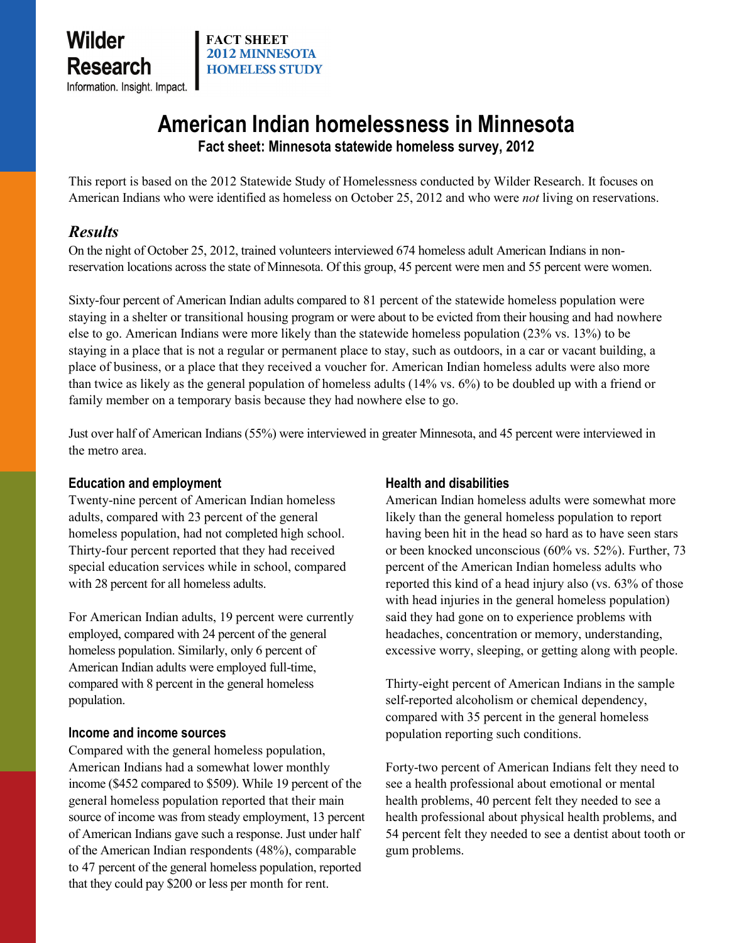# **American Indian homelessness in Minnesota**

**Fact sheet: Minnesota statewide homeless survey, 2012**

This report is based on the 2012 Statewide Study of Homelessness conducted by Wilder Research. It focuses on American Indians who were identified as homeless on October 25, 2012 and who were *not* living on reservations.

## *Results*

On the night of October 25, 2012, trained volunteers interviewed 674 homeless adult American Indians in nonreservation locations across the state of Minnesota. Of this group, 45 percent were men and 55 percent were women.

Sixty-four percent of American Indian adults compared to 81 percent of the statewide homeless population were staying in a shelter or transitional housing program or were about to be evicted from their housing and had nowhere else to go. American Indians were more likely than the statewide homeless population (23% vs. 13%) to be staying in a place that is not a regular or permanent place to stay, such as outdoors, in a car or vacant building, a place of business, or a place that they received a voucher for. American Indian homeless adults were also more than twice as likely as the general population of homeless adults (14% vs. 6%) to be doubled up with a friend or family member on a temporary basis because they had nowhere else to go.

Just over half of American Indians (55%) were interviewed in greater Minnesota, and 45 percent were interviewed in the metro area.

## **Education and employment**

Twenty-nine percent of American Indian homeless adults, compared with 23 percent of the general homeless population, had not completed high school. Thirty-four percent reported that they had received special education services while in school, compared with 28 percent for all homeless adults.

For American Indian adults, 19 percent were currently employed, compared with 24 percent of the general homeless population. Similarly, only 6 percent of American Indian adults were employed full-time, compared with 8 percent in the general homeless population.

#### **Income and income sources**

Compared with the general homeless population, American Indians had a somewhat lower monthly income (\$452 compared to \$509). While 19 percent of the general homeless population reported that their main source of income was from steady employment, 13 percent of American Indians gave such a response. Just under half of the American Indian respondents (48%), comparable to 47 percent of the general homeless population, reported that they could pay \$200 or less per month for rent.

## **Health and disabilities**

American Indian homeless adults were somewhat more likely than the general homeless population to report having been hit in the head so hard as to have seen stars or been knocked unconscious (60% vs. 52%). Further, 73 percent of the American Indian homeless adults who reported this kind of a head injury also (vs. 63% of those with head injuries in the general homeless population) said they had gone on to experience problems with headaches, concentration or memory, understanding, excessive worry, sleeping, or getting along with people.

Thirty-eight percent of American Indians in the sample self-reported alcoholism or chemical dependency, compared with 35 percent in the general homeless population reporting such conditions.

Forty-two percent of American Indians felt they need to see a health professional about emotional or mental health problems, 40 percent felt they needed to see a health professional about physical health problems, and 54 percent felt they needed to see a dentist about tooth or gum problems.